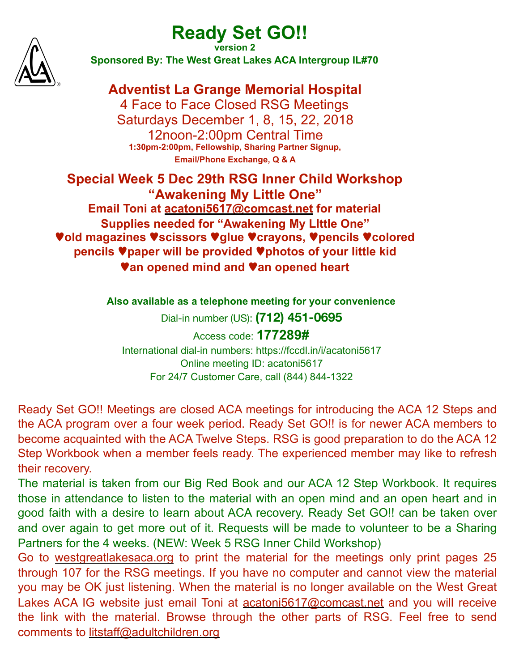# **Ready Set GO!!**



**version 2 Sponsored By: The West Great Lakes ACA Intergroup IL#70**

## **Adventist La Grange Memorial Hospital**

4 Face to Face Closed RSG Meetings Saturdays December 1, 8, 15, 22, 2018 12noon-2:00pm Central Time **1:30pm-2:00pm, Fellowship, Sharing Partner Signup, Email/Phone Exchange, Q & A** 

## **Special Week 5 Dec 29th RSG Inner Child Workshop "Awakening My Little One" Email Toni at [acatoni5617@comcast.net](mailto:acatoni5617@comcast.net) for material Supplies needed for "Awakening My LIttle One"**  ♥**old magazines** ♥**scissors** ♥**glue** ♥**crayons,** ♥**pencils** ♥**colored pencils** ♥**paper will be provided** ♥**photos of your little kid**  ♥**an opened mind and** ♥**an opened heart**

**Also available as a telephone meeting for your convenience**

Dial-in number (US): **(712) 451-0695**

Access code: **177289#** International dial-in numbers: https://fccdl.in/i/acatoni5617 Online meeting ID: acatoni5617 For 24/7 Customer Care, call (844) 844-1322

Ready Set GO!! Meetings are closed ACA meetings for introducing the ACA 12 Steps and the ACA program over a four week period. Ready Set GO!! is for newer ACA members to become acquainted with the ACA Twelve Steps. RSG is good preparation to do the ACA 12 Step Workbook when a member feels ready. The experienced member may like to refresh their recovery.

The material is taken from our Big Red Book and our ACA 12 Step Workbook. It requires those in attendance to listen to the material with an open mind and an open heart and in good faith with a desire to learn about ACA recovery. Ready Set GO!! can be taken over and over again to get more out of it. Requests will be made to volunteer to be a Sharing Partners for the 4 weeks. (NEW: Week 5 RSG Inner Child Workshop)

Go to [westgreatlakesaca.org](http://westgreatlakesaca.org) to print the material for the meetings only print pages 25 through 107 for the RSG meetings. If you have no computer and cannot view the material you may be OK just listening. When the material is no longer available on the West Great Lakes ACA IG website just email Toni at [acatoni5617@comcast.net](mailto:acatoni5617@comcast.net) and you will receive the link with the material. Browse through the other parts of RSG. Feel free to send comments to [litstaff@adultchildren.org](mailto:litstaff@adultchildren.org)